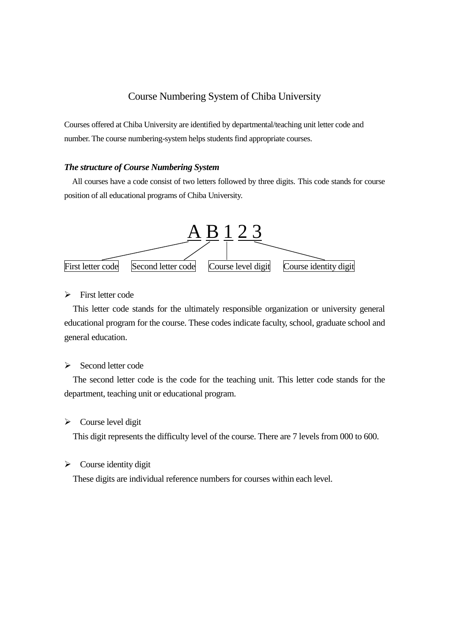## Course Numbering System of Chiba University

Courses offered at Chiba University are identified by departmental/teaching unit letter code and number. The course numbering-system helps students find appropriate courses.

#### *The structure of Course Numbering System*

All courses have a code consist of two letters followed by three digits. This code stands for course position of all educational programs of Chiba University.



First letter code

This letter code stands for the ultimately responsible organization or university general educational program for the course. These codes indicate faculty, school, graduate school and general education.

 $\triangleright$  Second letter code

The second letter code is the code for the teaching unit. This letter code stands for the department, teaching unit or educational program.

 $\triangleright$  Course level digit

This digit represents the difficulty level of the course. There are 7 levels from 000 to 600.

 $\triangleright$  Course identity digit

These digits are individual reference numbers for courses within each level.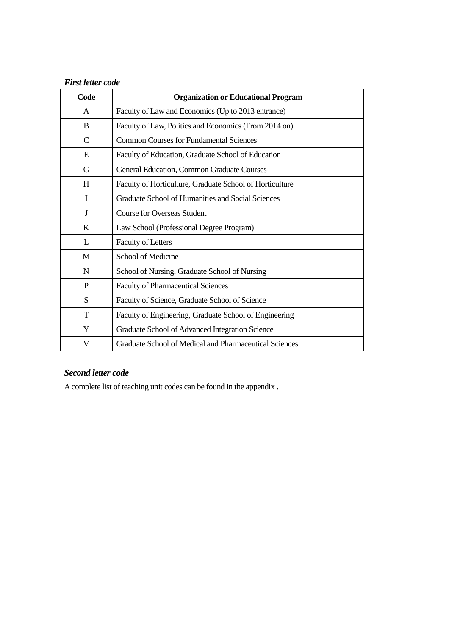# *First letter code*

| Code        | <b>Organization or Educational Program</b>               |
|-------------|----------------------------------------------------------|
| A           | Faculty of Law and Economics (Up to 2013 entrance)       |
| B           | Faculty of Law, Politics and Economics (From 2014 on)    |
| $\mathbf C$ | <b>Common Courses for Fundamental Sciences</b>           |
| E           | Faculty of Education, Graduate School of Education       |
| G           | General Education, Common Graduate Courses               |
| H           | Faculty of Horticulture, Graduate School of Horticulture |
| I           | Graduate School of Humanities and Social Sciences        |
| J           | <b>Course for Overseas Student</b>                       |
| K           | Law School (Professional Degree Program)                 |
| L           | <b>Faculty of Letters</b>                                |
| M           | School of Medicine                                       |
| N           | School of Nursing, Graduate School of Nursing            |
| P           | <b>Faculty of Pharmaceutical Sciences</b>                |
| S           | Faculty of Science, Graduate School of Science           |
| T           | Faculty of Engineering, Graduate School of Engineering   |
| Y           | Graduate School of Advanced Integration Science          |
| V           | Graduate School of Medical and Pharmaceutical Sciences   |

## *Second letter code*

A complete list of teaching unit codes can be found in the appendix .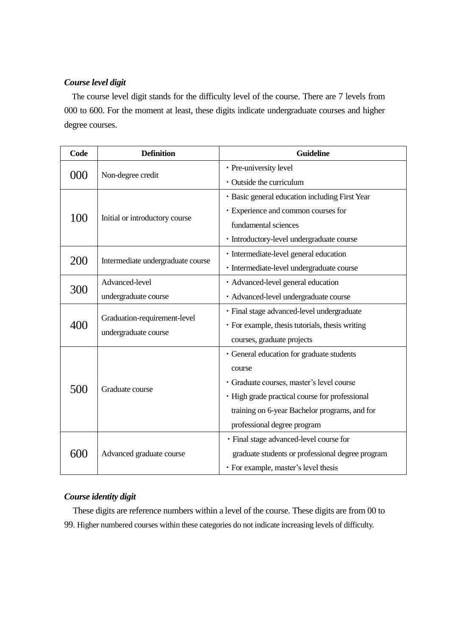### *Course level digit*

The course level digit stands for the difficulty level of the course. There are 7 levels from 000 to 600. For the moment at least, these digits indicate undergraduate courses and higher degree courses.

| Code | <b>Definition</b>                 | <b>Guideline</b>                                 |
|------|-----------------------------------|--------------------------------------------------|
|      |                                   | · Pre-university level                           |
| 000  | Non-degree credit                 | • Outside the curriculum                         |
| 100  | Initial or introductory course    | · Basic general education including First Year   |
|      |                                   | · Experience and common courses for              |
|      |                                   | fundamental sciences                             |
|      |                                   | · Introductory-level undergraduate course        |
| 200  | Intermediate undergraduate course | · Intermediate-level general education           |
|      |                                   | · Intermediate-level undergraduate course        |
| 300  | Advanced-level                    | · Advanced-level general education               |
|      | undergraduate course              | · Advanced-level undergraduate course            |
|      | Graduation-requirement-level      | · Final stage advanced-level undergraduate       |
| 400  | undergraduate course              | · For example, thesis tutorials, thesis writing  |
|      |                                   | courses, graduate projects                       |
|      |                                   | · General education for graduate students        |
|      |                                   | course                                           |
| 500  | Graduate course                   | · Graduate courses, master's level course        |
|      |                                   | · High grade practical course for professional   |
|      |                                   | training on 6-year Bachelor programs, and for    |
|      |                                   | professional degree program                      |
|      |                                   | · Final stage advanced-level course for          |
| 600  | Advanced graduate course          | graduate students or professional degree program |
|      |                                   | · For example, master's level thesis             |

### *Course identity digit*

 These digits are reference numbers within a level of the course. These digits are from 00 to 99. Higher numbered courses within these categories do not indicate increasing levels of difficulty.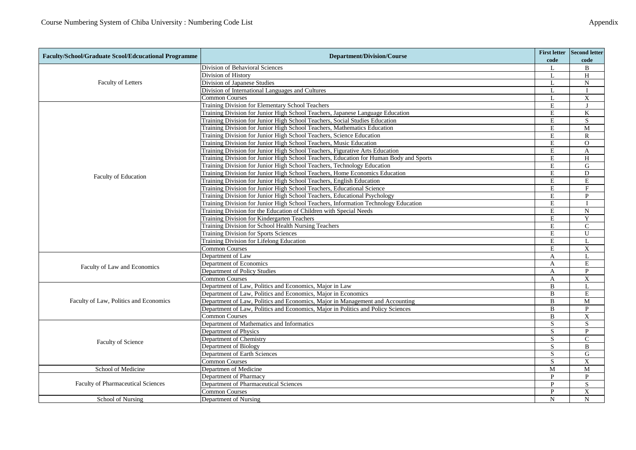| <b>Faculty/School/Graduate Scool/Edcucational Programme</b>                                                                                                                                                                                                                                                                                                                                                                                                                                                                                                                                                                                                                                                                                                                                                                                                                                                                                                                                                                                                                                                                                                                                  | <b>Department/Division/Course</b>                                                      | code           | First letter Second letter<br>code |
|----------------------------------------------------------------------------------------------------------------------------------------------------------------------------------------------------------------------------------------------------------------------------------------------------------------------------------------------------------------------------------------------------------------------------------------------------------------------------------------------------------------------------------------------------------------------------------------------------------------------------------------------------------------------------------------------------------------------------------------------------------------------------------------------------------------------------------------------------------------------------------------------------------------------------------------------------------------------------------------------------------------------------------------------------------------------------------------------------------------------------------------------------------------------------------------------|----------------------------------------------------------------------------------------|----------------|------------------------------------|
|                                                                                                                                                                                                                                                                                                                                                                                                                                                                                                                                                                                                                                                                                                                                                                                                                                                                                                                                                                                                                                                                                                                                                                                              | Division of Behavioral Sciences                                                        | L              | B                                  |
|                                                                                                                                                                                                                                                                                                                                                                                                                                                                                                                                                                                                                                                                                                                                                                                                                                                                                                                                                                                                                                                                                                                                                                                              | Division of History                                                                    | $\mathbf{L}$   | H                                  |
| Faculty of Letters                                                                                                                                                                                                                                                                                                                                                                                                                                                                                                                                                                                                                                                                                                                                                                                                                                                                                                                                                                                                                                                                                                                                                                           | Division of Japanese Studies                                                           | $\mathbf{I}$ . | $\mathbf N$                        |
|                                                                                                                                                                                                                                                                                                                                                                                                                                                                                                                                                                                                                                                                                                                                                                                                                                                                                                                                                                                                                                                                                                                                                                                              | Division of International Languages and Cultures                                       | $\mathbf{L}$   |                                    |
|                                                                                                                                                                                                                                                                                                                                                                                                                                                                                                                                                                                                                                                                                                                                                                                                                                                                                                                                                                                                                                                                                                                                                                                              | <b>Common Courses</b>                                                                  | L              | $\mathbf X$                        |
|                                                                                                                                                                                                                                                                                                                                                                                                                                                                                                                                                                                                                                                                                                                                                                                                                                                                                                                                                                                                                                                                                                                                                                                              | Training Division for Elementary School Teachers                                       | E              | $\mathbf{J}$                       |
|                                                                                                                                                                                                                                                                                                                                                                                                                                                                                                                                                                                                                                                                                                                                                                                                                                                                                                                                                                                                                                                                                                                                                                                              | Training Division for Junior High School Teachers, Japanese Language Education         | $\mathbf E$    | $\bf K$                            |
|                                                                                                                                                                                                                                                                                                                                                                                                                                                                                                                                                                                                                                                                                                                                                                                                                                                                                                                                                                                                                                                                                                                                                                                              | Training Division for Junior High School Teachers, Social Studies Education            | E              | S                                  |
|                                                                                                                                                                                                                                                                                                                                                                                                                                                                                                                                                                                                                                                                                                                                                                                                                                                                                                                                                                                                                                                                                                                                                                                              | Training Division for Junior High School Teachers, Mathematics Education               | E              | $\mathbf M$                        |
|                                                                                                                                                                                                                                                                                                                                                                                                                                                                                                                                                                                                                                                                                                                                                                                                                                                                                                                                                                                                                                                                                                                                                                                              | Training Division for Junior High School Teachers, Science Education                   | $\mathbf E$    | $\mathbb{R}$                       |
|                                                                                                                                                                                                                                                                                                                                                                                                                                                                                                                                                                                                                                                                                                                                                                                                                                                                                                                                                                                                                                                                                                                                                                                              | Training Division for Junior High School Teachers, Music Education                     | E              | $\overline{O}$                     |
|                                                                                                                                                                                                                                                                                                                                                                                                                                                                                                                                                                                                                                                                                                                                                                                                                                                                                                                                                                                                                                                                                                                                                                                              | Training Division for Junior High School Teachers, Figurative Arts Education           | E              | A                                  |
|                                                                                                                                                                                                                                                                                                                                                                                                                                                                                                                                                                                                                                                                                                                                                                                                                                                                                                                                                                                                                                                                                                                                                                                              | Training Division for Junior High School Teachers, Education for Human Body and Sports | E              | H                                  |
|                                                                                                                                                                                                                                                                                                                                                                                                                                                                                                                                                                                                                                                                                                                                                                                                                                                                                                                                                                                                                                                                                                                                                                                              | Training Division for Junior High School Teachers, Technology Education                | $\mathbf E$    | G                                  |
|                                                                                                                                                                                                                                                                                                                                                                                                                                                                                                                                                                                                                                                                                                                                                                                                                                                                                                                                                                                                                                                                                                                                                                                              | Training Division for Junior High School Teachers, Home Economics Education            | E              | D                                  |
|                                                                                                                                                                                                                                                                                                                                                                                                                                                                                                                                                                                                                                                                                                                                                                                                                                                                                                                                                                                                                                                                                                                                                                                              |                                                                                        | E              | E                                  |
|                                                                                                                                                                                                                                                                                                                                                                                                                                                                                                                                                                                                                                                                                                                                                                                                                                                                                                                                                                                                                                                                                                                                                                                              |                                                                                        | E              | F                                  |
|                                                                                                                                                                                                                                                                                                                                                                                                                                                                                                                                                                                                                                                                                                                                                                                                                                                                                                                                                                                                                                                                                                                                                                                              |                                                                                        | E              | P                                  |
|                                                                                                                                                                                                                                                                                                                                                                                                                                                                                                                                                                                                                                                                                                                                                                                                                                                                                                                                                                                                                                                                                                                                                                                              |                                                                                        | $\mathbf E$    | $\mathbf{I}$                       |
|                                                                                                                                                                                                                                                                                                                                                                                                                                                                                                                                                                                                                                                                                                                                                                                                                                                                                                                                                                                                                                                                                                                                                                                              |                                                                                        | E              | $\overline{N}$                     |
|                                                                                                                                                                                                                                                                                                                                                                                                                                                                                                                                                                                                                                                                                                                                                                                                                                                                                                                                                                                                                                                                                                                                                                                              |                                                                                        | E              | Y                                  |
|                                                                                                                                                                                                                                                                                                                                                                                                                                                                                                                                                                                                                                                                                                                                                                                                                                                                                                                                                                                                                                                                                                                                                                                              |                                                                                        | E              | $\mathbf{C}$                       |
|                                                                                                                                                                                                                                                                                                                                                                                                                                                                                                                                                                                                                                                                                                                                                                                                                                                                                                                                                                                                                                                                                                                                                                                              |                                                                                        | E              | U                                  |
|                                                                                                                                                                                                                                                                                                                                                                                                                                                                                                                                                                                                                                                                                                                                                                                                                                                                                                                                                                                                                                                                                                                                                                                              |                                                                                        | $\mathbf E$    | L                                  |
|                                                                                                                                                                                                                                                                                                                                                                                                                                                                                                                                                                                                                                                                                                                                                                                                                                                                                                                                                                                                                                                                                                                                                                                              | <b>Common Courses</b>                                                                  | E              | X                                  |
|                                                                                                                                                                                                                                                                                                                                                                                                                                                                                                                                                                                                                                                                                                                                                                                                                                                                                                                                                                                                                                                                                                                                                                                              |                                                                                        | $\mathbf{A}$   | L                                  |
|                                                                                                                                                                                                                                                                                                                                                                                                                                                                                                                                                                                                                                                                                                                                                                                                                                                                                                                                                                                                                                                                                                                                                                                              | Department of Economics                                                                | $\mathbf{A}$   | E                                  |
|                                                                                                                                                                                                                                                                                                                                                                                                                                                                                                                                                                                                                                                                                                                                                                                                                                                                                                                                                                                                                                                                                                                                                                                              |                                                                                        | A              | P                                  |
|                                                                                                                                                                                                                                                                                                                                                                                                                                                                                                                                                                                                                                                                                                                                                                                                                                                                                                                                                                                                                                                                                                                                                                                              | <b>Common Courses</b>                                                                  | $\mathbf{A}$   | X                                  |
| Faculty of Education<br>Training Division for Junior High School Teachers, English Education<br>Training Division for Junior High School Teachers, Educational Science<br>Training Division for Junior High School Teachers, Educational Psychology<br>Training Division for Junior High School Teachers, Information Technology Education<br>Training Division for the Education of Children with Special Needs<br>Training Division for Kindergarten Teachers<br>Training Division for School Health Nursing Teachers<br>Training Division for Sports Sciences<br>Training Division for Lifelong Education<br>Department of Law<br>Faculty of Law and Economics<br>Department of Policy Studies<br>Department of Law, Politics and Economics, Major in Law<br>Department of Law, Politics and Economics, Major in Economics<br>Faculty of Law, Politics and Economics<br>Department of Law, Politics and Economics, Major in Management and Accounting<br>Department of Law, Politics and Economics, Major in Politics and Policy Sciences<br><b>Common Courses</b><br>Department of Mathematics and Informatics<br>Department of Physics<br>Department of Chemistry<br>Faculty of Science | B                                                                                      | L              |                                    |
|                                                                                                                                                                                                                                                                                                                                                                                                                                                                                                                                                                                                                                                                                                                                                                                                                                                                                                                                                                                                                                                                                                                                                                                              |                                                                                        | $\overline{B}$ | $\mathbf E$                        |
|                                                                                                                                                                                                                                                                                                                                                                                                                                                                                                                                                                                                                                                                                                                                                                                                                                                                                                                                                                                                                                                                                                                                                                                              |                                                                                        | B              | M                                  |
|                                                                                                                                                                                                                                                                                                                                                                                                                                                                                                                                                                                                                                                                                                                                                                                                                                                                                                                                                                                                                                                                                                                                                                                              |                                                                                        | B              | P                                  |
|                                                                                                                                                                                                                                                                                                                                                                                                                                                                                                                                                                                                                                                                                                                                                                                                                                                                                                                                                                                                                                                                                                                                                                                              |                                                                                        | B              | $\mathbf X$                        |
|                                                                                                                                                                                                                                                                                                                                                                                                                                                                                                                                                                                                                                                                                                                                                                                                                                                                                                                                                                                                                                                                                                                                                                                              |                                                                                        | S              | S                                  |
|                                                                                                                                                                                                                                                                                                                                                                                                                                                                                                                                                                                                                                                                                                                                                                                                                                                                                                                                                                                                                                                                                                                                                                                              |                                                                                        | S              | $\mathbf{P}$                       |
|                                                                                                                                                                                                                                                                                                                                                                                                                                                                                                                                                                                                                                                                                                                                                                                                                                                                                                                                                                                                                                                                                                                                                                                              |                                                                                        | S              | $\mathbf{C}$                       |
|                                                                                                                                                                                                                                                                                                                                                                                                                                                                                                                                                                                                                                                                                                                                                                                                                                                                                                                                                                                                                                                                                                                                                                                              | Department of Biology                                                                  | S              | B                                  |
|                                                                                                                                                                                                                                                                                                                                                                                                                                                                                                                                                                                                                                                                                                                                                                                                                                                                                                                                                                                                                                                                                                                                                                                              | Department of Earth Sciences                                                           | S              | G                                  |
|                                                                                                                                                                                                                                                                                                                                                                                                                                                                                                                                                                                                                                                                                                                                                                                                                                                                                                                                                                                                                                                                                                                                                                                              | <b>Common Courses</b>                                                                  | S              | X                                  |
| School of Medicine                                                                                                                                                                                                                                                                                                                                                                                                                                                                                                                                                                                                                                                                                                                                                                                                                                                                                                                                                                                                                                                                                                                                                                           | Departmen of Medicine                                                                  | M              | M                                  |
|                                                                                                                                                                                                                                                                                                                                                                                                                                                                                                                                                                                                                                                                                                                                                                                                                                                                                                                                                                                                                                                                                                                                                                                              | Department of Pharmacy                                                                 | $\mathbf{P}$   | P                                  |
| Faculty of Pharmaceutical Sciences                                                                                                                                                                                                                                                                                                                                                                                                                                                                                                                                                                                                                                                                                                                                                                                                                                                                                                                                                                                                                                                                                                                                                           | Department of Pharmaceutical Sciences                                                  | P              | $\mathbf S$                        |
|                                                                                                                                                                                                                                                                                                                                                                                                                                                                                                                                                                                                                                                                                                                                                                                                                                                                                                                                                                                                                                                                                                                                                                                              | <b>Common Courses</b>                                                                  | $\mathbf{P}$   | $\overline{\mathrm{X}}$            |
| School of Nursing                                                                                                                                                                                                                                                                                                                                                                                                                                                                                                                                                                                                                                                                                                                                                                                                                                                                                                                                                                                                                                                                                                                                                                            | Department of Nursing                                                                  | N              | N                                  |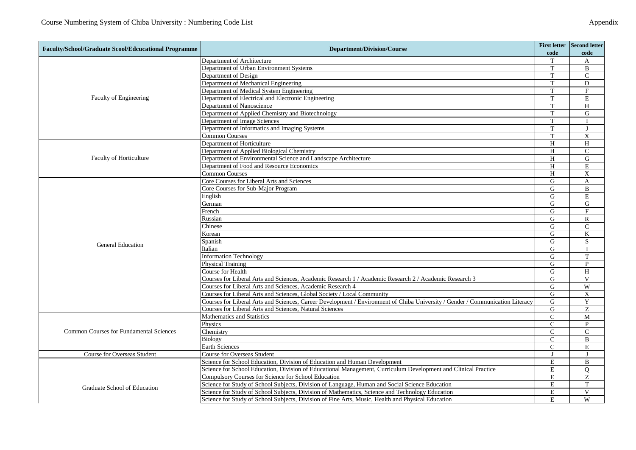|                                                                                                                                                                                                                                                                                                                                                                                                                                                                                                                                                                                                                                                                                                                                                                                                                                                                                                                                                                                                                                                                                                                                                                                                                                                                                                                                                                                                                                                                                                                                                                                                                                                                                                                                                                                                                                                                                                                                                                                                                                                                                                          |                                                                                                   |                | First letter Second letter |
|----------------------------------------------------------------------------------------------------------------------------------------------------------------------------------------------------------------------------------------------------------------------------------------------------------------------------------------------------------------------------------------------------------------------------------------------------------------------------------------------------------------------------------------------------------------------------------------------------------------------------------------------------------------------------------------------------------------------------------------------------------------------------------------------------------------------------------------------------------------------------------------------------------------------------------------------------------------------------------------------------------------------------------------------------------------------------------------------------------------------------------------------------------------------------------------------------------------------------------------------------------------------------------------------------------------------------------------------------------------------------------------------------------------------------------------------------------------------------------------------------------------------------------------------------------------------------------------------------------------------------------------------------------------------------------------------------------------------------------------------------------------------------------------------------------------------------------------------------------------------------------------------------------------------------------------------------------------------------------------------------------------------------------------------------------------------------------------------------------|---------------------------------------------------------------------------------------------------|----------------|----------------------------|
|                                                                                                                                                                                                                                                                                                                                                                                                                                                                                                                                                                                                                                                                                                                                                                                                                                                                                                                                                                                                                                                                                                                                                                                                                                                                                                                                                                                                                                                                                                                                                                                                                                                                                                                                                                                                                                                                                                                                                                                                                                                                                                          |                                                                                                   | code           | code                       |
|                                                                                                                                                                                                                                                                                                                                                                                                                                                                                                                                                                                                                                                                                                                                                                                                                                                                                                                                                                                                                                                                                                                                                                                                                                                                                                                                                                                                                                                                                                                                                                                                                                                                                                                                                                                                                                                                                                                                                                                                                                                                                                          |                                                                                                   | T              | A                          |
| Faculty of Engineering<br>Faculty of Horticulture<br><b>General Education</b><br><b>Common Courses for Fundamental Sciences</b><br><b>Course for Overseas Student</b>                                                                                                                                                                                                                                                                                                                                                                                                                                                                                                                                                                                                                                                                                                                                                                                                                                                                                                                                                                                                                                                                                                                                                                                                                                                                                                                                                                                                                                                                                                                                                                                                                                                                                                                                                                                                                                                                                                                                    |                                                                                                   | T              | B                          |
|                                                                                                                                                                                                                                                                                                                                                                                                                                                                                                                                                                                                                                                                                                                                                                                                                                                                                                                                                                                                                                                                                                                                                                                                                                                                                                                                                                                                                                                                                                                                                                                                                                                                                                                                                                                                                                                                                                                                                                                                                                                                                                          |                                                                                                   | T              | $\mathcal{C}$              |
|                                                                                                                                                                                                                                                                                                                                                                                                                                                                                                                                                                                                                                                                                                                                                                                                                                                                                                                                                                                                                                                                                                                                                                                                                                                                                                                                                                                                                                                                                                                                                                                                                                                                                                                                                                                                                                                                                                                                                                                                                                                                                                          |                                                                                                   | T              | D                          |
| <b>Faculty/School/Graduate Scool/Edcucational Programme</b><br><b>Department/Division/Course</b><br>Department of Architecture<br>Department of Urban Environment Systems<br>Department of Design<br>Department of Mechanical Engineering<br>Department of Medical System Engineering<br>Department of Electrical and Electronic Engineering<br>Department of Nanoscience<br>Department of Applied Chemistry and Biotechnology<br>Department of Image Sciences<br>Department of Informatics and Imaging Systems<br><b>Common Courses</b><br>Department of Horticulture<br>Department of Applied Biological Chemistry<br>Department of Environmental Science and Landscape Architecture<br>Department of Food and Resource Economics<br><b>Common Courses</b><br>Core Courses for Liberal Arts and Sciences<br>Core Courses for Sub-Major Program<br>English<br>German<br>French<br>Russian<br>Chinese<br>Korean<br>Spanish<br>Italian<br><b>Information Technology</b><br><b>Physical Training</b><br>Course for Health<br>Courses for Liberal Arts and Sciences, Academic Research 1 / Academic Research 2 / Academic Research 3<br>Courses for Liberal Arts and Sciences, Academic Research 4<br>Courses for Liberal Arts and Sciences, Global Society / Local Community<br>Courses for Liberal Arts and Sciences, Career Development / Environment of Chiba University / Gender / Communication Literacy<br>Courses for Liberal Arts and Sciences, Natural Sciences<br>Mathematics and Statistics<br>Physics<br>Chemistry<br><b>Biology</b><br><b>Earth Sciences</b><br><b>Course for Overseas Student</b><br>Science for School Education, Division of Education and Human Development<br>Science for School Education, Division of Educational Management, Curriculum Development and Clinical Practice<br>Compulsory Courses for Science for School Education<br>Science for Study of School Subjects, Division of Language, Human and Social Science Education<br>Graduate School of Education<br>Science for Study of School Subjects, Division of Mathematics, Science and Technology Education |                                                                                                   | T              | F                          |
|                                                                                                                                                                                                                                                                                                                                                                                                                                                                                                                                                                                                                                                                                                                                                                                                                                                                                                                                                                                                                                                                                                                                                                                                                                                                                                                                                                                                                                                                                                                                                                                                                                                                                                                                                                                                                                                                                                                                                                                                                                                                                                          | T                                                                                                 | E              |                            |
|                                                                                                                                                                                                                                                                                                                                                                                                                                                                                                                                                                                                                                                                                                                                                                                                                                                                                                                                                                                                                                                                                                                                                                                                                                                                                                                                                                                                                                                                                                                                                                                                                                                                                                                                                                                                                                                                                                                                                                                                                                                                                                          |                                                                                                   | T              | H                          |
|                                                                                                                                                                                                                                                                                                                                                                                                                                                                                                                                                                                                                                                                                                                                                                                                                                                                                                                                                                                                                                                                                                                                                                                                                                                                                                                                                                                                                                                                                                                                                                                                                                                                                                                                                                                                                                                                                                                                                                                                                                                                                                          |                                                                                                   | T              | G                          |
|                                                                                                                                                                                                                                                                                                                                                                                                                                                                                                                                                                                                                                                                                                                                                                                                                                                                                                                                                                                                                                                                                                                                                                                                                                                                                                                                                                                                                                                                                                                                                                                                                                                                                                                                                                                                                                                                                                                                                                                                                                                                                                          |                                                                                                   | T              |                            |
|                                                                                                                                                                                                                                                                                                                                                                                                                                                                                                                                                                                                                                                                                                                                                                                                                                                                                                                                                                                                                                                                                                                                                                                                                                                                                                                                                                                                                                                                                                                                                                                                                                                                                                                                                                                                                                                                                                                                                                                                                                                                                                          |                                                                                                   | T              | $\mathbf{I}$               |
|                                                                                                                                                                                                                                                                                                                                                                                                                                                                                                                                                                                                                                                                                                                                                                                                                                                                                                                                                                                                                                                                                                                                                                                                                                                                                                                                                                                                                                                                                                                                                                                                                                                                                                                                                                                                                                                                                                                                                                                                                                                                                                          |                                                                                                   | T              | X                          |
|                                                                                                                                                                                                                                                                                                                                                                                                                                                                                                                                                                                                                                                                                                                                                                                                                                                                                                                                                                                                                                                                                                                                                                                                                                                                                                                                                                                                                                                                                                                                                                                                                                                                                                                                                                                                                                                                                                                                                                                                                                                                                                          |                                                                                                   | H              | H                          |
|                                                                                                                                                                                                                                                                                                                                                                                                                                                                                                                                                                                                                                                                                                                                                                                                                                                                                                                                                                                                                                                                                                                                                                                                                                                                                                                                                                                                                                                                                                                                                                                                                                                                                                                                                                                                                                                                                                                                                                                                                                                                                                          |                                                                                                   | H              | $\mathcal{C}$              |
|                                                                                                                                                                                                                                                                                                                                                                                                                                                                                                                                                                                                                                                                                                                                                                                                                                                                                                                                                                                                                                                                                                                                                                                                                                                                                                                                                                                                                                                                                                                                                                                                                                                                                                                                                                                                                                                                                                                                                                                                                                                                                                          |                                                                                                   | H              | G                          |
|                                                                                                                                                                                                                                                                                                                                                                                                                                                                                                                                                                                                                                                                                                                                                                                                                                                                                                                                                                                                                                                                                                                                                                                                                                                                                                                                                                                                                                                                                                                                                                                                                                                                                                                                                                                                                                                                                                                                                                                                                                                                                                          |                                                                                                   | H              | E                          |
|                                                                                                                                                                                                                                                                                                                                                                                                                                                                                                                                                                                                                                                                                                                                                                                                                                                                                                                                                                                                                                                                                                                                                                                                                                                                                                                                                                                                                                                                                                                                                                                                                                                                                                                                                                                                                                                                                                                                                                                                                                                                                                          |                                                                                                   | H              | X                          |
|                                                                                                                                                                                                                                                                                                                                                                                                                                                                                                                                                                                                                                                                                                                                                                                                                                                                                                                                                                                                                                                                                                                                                                                                                                                                                                                                                                                                                                                                                                                                                                                                                                                                                                                                                                                                                                                                                                                                                                                                                                                                                                          |                                                                                                   | G              | A                          |
|                                                                                                                                                                                                                                                                                                                                                                                                                                                                                                                                                                                                                                                                                                                                                                                                                                                                                                                                                                                                                                                                                                                                                                                                                                                                                                                                                                                                                                                                                                                                                                                                                                                                                                                                                                                                                                                                                                                                                                                                                                                                                                          |                                                                                                   | G              | B                          |
|                                                                                                                                                                                                                                                                                                                                                                                                                                                                                                                                                                                                                                                                                                                                                                                                                                                                                                                                                                                                                                                                                                                                                                                                                                                                                                                                                                                                                                                                                                                                                                                                                                                                                                                                                                                                                                                                                                                                                                                                                                                                                                          |                                                                                                   | G              | E                          |
|                                                                                                                                                                                                                                                                                                                                                                                                                                                                                                                                                                                                                                                                                                                                                                                                                                                                                                                                                                                                                                                                                                                                                                                                                                                                                                                                                                                                                                                                                                                                                                                                                                                                                                                                                                                                                                                                                                                                                                                                                                                                                                          |                                                                                                   | G              | G                          |
|                                                                                                                                                                                                                                                                                                                                                                                                                                                                                                                                                                                                                                                                                                                                                                                                                                                                                                                                                                                                                                                                                                                                                                                                                                                                                                                                                                                                                                                                                                                                                                                                                                                                                                                                                                                                                                                                                                                                                                                                                                                                                                          |                                                                                                   | G              | $\mathbf F$                |
|                                                                                                                                                                                                                                                                                                                                                                                                                                                                                                                                                                                                                                                                                                                                                                                                                                                                                                                                                                                                                                                                                                                                                                                                                                                                                                                                                                                                                                                                                                                                                                                                                                                                                                                                                                                                                                                                                                                                                                                                                                                                                                          |                                                                                                   | G              | $\mathbb{R}$               |
|                                                                                                                                                                                                                                                                                                                                                                                                                                                                                                                                                                                                                                                                                                                                                                                                                                                                                                                                                                                                                                                                                                                                                                                                                                                                                                                                                                                                                                                                                                                                                                                                                                                                                                                                                                                                                                                                                                                                                                                                                                                                                                          |                                                                                                   | G              | $\mathcal{C}$              |
|                                                                                                                                                                                                                                                                                                                                                                                                                                                                                                                                                                                                                                                                                                                                                                                                                                                                                                                                                                                                                                                                                                                                                                                                                                                                                                                                                                                                                                                                                                                                                                                                                                                                                                                                                                                                                                                                                                                                                                                                                                                                                                          |                                                                                                   | G              | K                          |
|                                                                                                                                                                                                                                                                                                                                                                                                                                                                                                                                                                                                                                                                                                                                                                                                                                                                                                                                                                                                                                                                                                                                                                                                                                                                                                                                                                                                                                                                                                                                                                                                                                                                                                                                                                                                                                                                                                                                                                                                                                                                                                          |                                                                                                   | G              | S                          |
|                                                                                                                                                                                                                                                                                                                                                                                                                                                                                                                                                                                                                                                                                                                                                                                                                                                                                                                                                                                                                                                                                                                                                                                                                                                                                                                                                                                                                                                                                                                                                                                                                                                                                                                                                                                                                                                                                                                                                                                                                                                                                                          |                                                                                                   | G              | $\mathbf{I}$               |
|                                                                                                                                                                                                                                                                                                                                                                                                                                                                                                                                                                                                                                                                                                                                                                                                                                                                                                                                                                                                                                                                                                                                                                                                                                                                                                                                                                                                                                                                                                                                                                                                                                                                                                                                                                                                                                                                                                                                                                                                                                                                                                          |                                                                                                   | G              | T                          |
|                                                                                                                                                                                                                                                                                                                                                                                                                                                                                                                                                                                                                                                                                                                                                                                                                                                                                                                                                                                                                                                                                                                                                                                                                                                                                                                                                                                                                                                                                                                                                                                                                                                                                                                                                                                                                                                                                                                                                                                                                                                                                                          |                                                                                                   | G              | P                          |
|                                                                                                                                                                                                                                                                                                                                                                                                                                                                                                                                                                                                                                                                                                                                                                                                                                                                                                                                                                                                                                                                                                                                                                                                                                                                                                                                                                                                                                                                                                                                                                                                                                                                                                                                                                                                                                                                                                                                                                                                                                                                                                          |                                                                                                   | G              | H                          |
|                                                                                                                                                                                                                                                                                                                                                                                                                                                                                                                                                                                                                                                                                                                                                                                                                                                                                                                                                                                                                                                                                                                                                                                                                                                                                                                                                                                                                                                                                                                                                                                                                                                                                                                                                                                                                                                                                                                                                                                                                                                                                                          |                                                                                                   | G              | V                          |
|                                                                                                                                                                                                                                                                                                                                                                                                                                                                                                                                                                                                                                                                                                                                                                                                                                                                                                                                                                                                                                                                                                                                                                                                                                                                                                                                                                                                                                                                                                                                                                                                                                                                                                                                                                                                                                                                                                                                                                                                                                                                                                          |                                                                                                   | G              | W                          |
|                                                                                                                                                                                                                                                                                                                                                                                                                                                                                                                                                                                                                                                                                                                                                                                                                                                                                                                                                                                                                                                                                                                                                                                                                                                                                                                                                                                                                                                                                                                                                                                                                                                                                                                                                                                                                                                                                                                                                                                                                                                                                                          |                                                                                                   | G              | $\mathbf X$                |
|                                                                                                                                                                                                                                                                                                                                                                                                                                                                                                                                                                                                                                                                                                                                                                                                                                                                                                                                                                                                                                                                                                                                                                                                                                                                                                                                                                                                                                                                                                                                                                                                                                                                                                                                                                                                                                                                                                                                                                                                                                                                                                          |                                                                                                   | G              | $\mathbf Y$                |
|                                                                                                                                                                                                                                                                                                                                                                                                                                                                                                                                                                                                                                                                                                                                                                                                                                                                                                                                                                                                                                                                                                                                                                                                                                                                                                                                                                                                                                                                                                                                                                                                                                                                                                                                                                                                                                                                                                                                                                                                                                                                                                          |                                                                                                   | G              | Z                          |
|                                                                                                                                                                                                                                                                                                                                                                                                                                                                                                                                                                                                                                                                                                                                                                                                                                                                                                                                                                                                                                                                                                                                                                                                                                                                                                                                                                                                                                                                                                                                                                                                                                                                                                                                                                                                                                                                                                                                                                                                                                                                                                          |                                                                                                   | $\overline{C}$ | $\mathbf M$                |
|                                                                                                                                                                                                                                                                                                                                                                                                                                                                                                                                                                                                                                                                                                                                                                                                                                                                                                                                                                                                                                                                                                                                                                                                                                                                                                                                                                                                                                                                                                                                                                                                                                                                                                                                                                                                                                                                                                                                                                                                                                                                                                          |                                                                                                   | $\mathcal{C}$  | P                          |
|                                                                                                                                                                                                                                                                                                                                                                                                                                                                                                                                                                                                                                                                                                                                                                                                                                                                                                                                                                                                                                                                                                                                                                                                                                                                                                                                                                                                                                                                                                                                                                                                                                                                                                                                                                                                                                                                                                                                                                                                                                                                                                          |                                                                                                   | $\mathcal{C}$  | $\mathcal{C}$              |
|                                                                                                                                                                                                                                                                                                                                                                                                                                                                                                                                                                                                                                                                                                                                                                                                                                                                                                                                                                                                                                                                                                                                                                                                                                                                                                                                                                                                                                                                                                                                                                                                                                                                                                                                                                                                                                                                                                                                                                                                                                                                                                          |                                                                                                   | $\mathbf C$    | B                          |
|                                                                                                                                                                                                                                                                                                                                                                                                                                                                                                                                                                                                                                                                                                                                                                                                                                                                                                                                                                                                                                                                                                                                                                                                                                                                                                                                                                                                                                                                                                                                                                                                                                                                                                                                                                                                                                                                                                                                                                                                                                                                                                          |                                                                                                   | C              | E                          |
|                                                                                                                                                                                                                                                                                                                                                                                                                                                                                                                                                                                                                                                                                                                                                                                                                                                                                                                                                                                                                                                                                                                                                                                                                                                                                                                                                                                                                                                                                                                                                                                                                                                                                                                                                                                                                                                                                                                                                                                                                                                                                                          |                                                                                                   | $\bf{J}$       | $\mathbf{I}$               |
|                                                                                                                                                                                                                                                                                                                                                                                                                                                                                                                                                                                                                                                                                                                                                                                                                                                                                                                                                                                                                                                                                                                                                                                                                                                                                                                                                                                                                                                                                                                                                                                                                                                                                                                                                                                                                                                                                                                                                                                                                                                                                                          |                                                                                                   | E              | B                          |
|                                                                                                                                                                                                                                                                                                                                                                                                                                                                                                                                                                                                                                                                                                                                                                                                                                                                                                                                                                                                                                                                                                                                                                                                                                                                                                                                                                                                                                                                                                                                                                                                                                                                                                                                                                                                                                                                                                                                                                                                                                                                                                          |                                                                                                   | E              | $\overline{O}$             |
|                                                                                                                                                                                                                                                                                                                                                                                                                                                                                                                                                                                                                                                                                                                                                                                                                                                                                                                                                                                                                                                                                                                                                                                                                                                                                                                                                                                                                                                                                                                                                                                                                                                                                                                                                                                                                                                                                                                                                                                                                                                                                                          |                                                                                                   | E              | Z                          |
|                                                                                                                                                                                                                                                                                                                                                                                                                                                                                                                                                                                                                                                                                                                                                                                                                                                                                                                                                                                                                                                                                                                                                                                                                                                                                                                                                                                                                                                                                                                                                                                                                                                                                                                                                                                                                                                                                                                                                                                                                                                                                                          |                                                                                                   | E              | T                          |
|                                                                                                                                                                                                                                                                                                                                                                                                                                                                                                                                                                                                                                                                                                                                                                                                                                                                                                                                                                                                                                                                                                                                                                                                                                                                                                                                                                                                                                                                                                                                                                                                                                                                                                                                                                                                                                                                                                                                                                                                                                                                                                          |                                                                                                   | E              | $\mathbf{V}$               |
|                                                                                                                                                                                                                                                                                                                                                                                                                                                                                                                                                                                                                                                                                                                                                                                                                                                                                                                                                                                                                                                                                                                                                                                                                                                                                                                                                                                                                                                                                                                                                                                                                                                                                                                                                                                                                                                                                                                                                                                                                                                                                                          | Science for Study of School Subjects, Division of Fine Arts, Music, Health and Physical Education | E              | W                          |